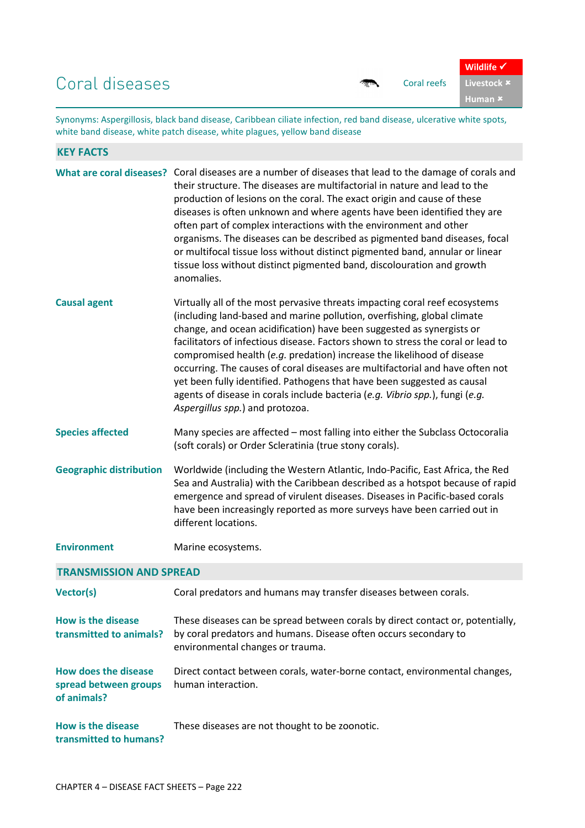## Coral diseases and the coral reefs

| ℼ℡ | Coral |
|----|-------|
|    |       |
|    |       |

**Human** 

Synonyms: Aspergillosis, black band disease, Caribbean ciliate infection, red band disease, ulcerative white spots, white band disease, white patch disease, white plagues, yellow band disease

| <b>KEY FACTS</b>                                                    |                                                                                                                                                                                                                                                                                                                                                                                                                                                                                                                                                                                                                                                                              |
|---------------------------------------------------------------------|------------------------------------------------------------------------------------------------------------------------------------------------------------------------------------------------------------------------------------------------------------------------------------------------------------------------------------------------------------------------------------------------------------------------------------------------------------------------------------------------------------------------------------------------------------------------------------------------------------------------------------------------------------------------------|
|                                                                     | What are coral diseases? Coral diseases are a number of diseases that lead to the damage of corals and<br>their structure. The diseases are multifactorial in nature and lead to the<br>production of lesions on the coral. The exact origin and cause of these<br>diseases is often unknown and where agents have been identified they are<br>often part of complex interactions with the environment and other<br>organisms. The diseases can be described as pigmented band diseases, focal<br>or multifocal tissue loss without distinct pigmented band, annular or linear<br>tissue loss without distinct pigmented band, discolouration and growth<br>anomalies.       |
| <b>Causal agent</b>                                                 | Virtually all of the most pervasive threats impacting coral reef ecosystems<br>(including land-based and marine pollution, overfishing, global climate<br>change, and ocean acidification) have been suggested as synergists or<br>facilitators of infectious disease. Factors shown to stress the coral or lead to<br>compromised health (e.g. predation) increase the likelihood of disease<br>occurring. The causes of coral diseases are multifactorial and have often not<br>yet been fully identified. Pathogens that have been suggested as causal<br>agents of disease in corals include bacteria (e.g. Vibrio spp.), fungi (e.g.<br>Aspergillus spp.) and protozoa. |
| <b>Species affected</b>                                             | Many species are affected – most falling into either the Subclass Octocoralia<br>(soft corals) or Order Scleratinia (true stony corals).                                                                                                                                                                                                                                                                                                                                                                                                                                                                                                                                     |
| <b>Geographic distribution</b>                                      | Worldwide (including the Western Atlantic, Indo-Pacific, East Africa, the Red<br>Sea and Australia) with the Caribbean described as a hotspot because of rapid<br>emergence and spread of virulent diseases. Diseases in Pacific-based corals<br>have been increasingly reported as more surveys have been carried out in<br>different locations.                                                                                                                                                                                                                                                                                                                            |
| <b>Environment</b>                                                  | Marine ecosystems.                                                                                                                                                                                                                                                                                                                                                                                                                                                                                                                                                                                                                                                           |
| <b>TRANSMISSION AND SPREAD</b>                                      |                                                                                                                                                                                                                                                                                                                                                                                                                                                                                                                                                                                                                                                                              |
| <b>Vector(s)</b>                                                    | Coral predators and humans may transfer diseases between corals.                                                                                                                                                                                                                                                                                                                                                                                                                                                                                                                                                                                                             |
| <b>How is the disease</b><br>transmitted to animals?                | These diseases can be spread between corals by direct contact or, potentially,<br>by coral predators and humans. Disease often occurs secondary to<br>environmental changes or trauma.                                                                                                                                                                                                                                                                                                                                                                                                                                                                                       |
| <b>How does the disease</b><br>spread between groups<br>of animals? | Direct contact between corals, water-borne contact, environmental changes,<br>human interaction.                                                                                                                                                                                                                                                                                                                                                                                                                                                                                                                                                                             |
| <b>How is the disease</b><br>transmitted to humans?                 | These diseases are not thought to be zoonotic.                                                                                                                                                                                                                                                                                                                                                                                                                                                                                                                                                                                                                               |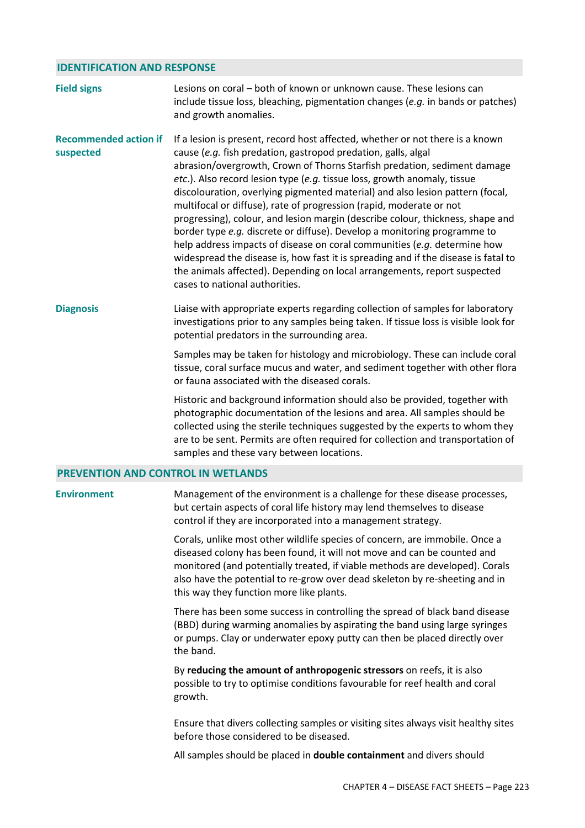## **IDENTIFICATION AND RESPONSE**

| <b>Field signs</b>                        | Lesions on coral – both of known or unknown cause. These lesions can<br>include tissue loss, bleaching, pigmentation changes (e.g. in bands or patches)<br>and growth anomalies.                                                                                                                                                                                                                                                                                                                                                                                                                                                                                                                                                                                                                                                                                                                             |
|-------------------------------------------|--------------------------------------------------------------------------------------------------------------------------------------------------------------------------------------------------------------------------------------------------------------------------------------------------------------------------------------------------------------------------------------------------------------------------------------------------------------------------------------------------------------------------------------------------------------------------------------------------------------------------------------------------------------------------------------------------------------------------------------------------------------------------------------------------------------------------------------------------------------------------------------------------------------|
| <b>Recommended action if</b><br>suspected | If a lesion is present, record host affected, whether or not there is a known<br>cause (e.g. fish predation, gastropod predation, galls, algal<br>abrasion/overgrowth, Crown of Thorns Starfish predation, sediment damage<br>etc.). Also record lesion type (e.g. tissue loss, growth anomaly, tissue<br>discolouration, overlying pigmented material) and also lesion pattern (focal,<br>multifocal or diffuse), rate of progression (rapid, moderate or not<br>progressing), colour, and lesion margin (describe colour, thickness, shape and<br>border type e.g. discrete or diffuse). Develop a monitoring programme to<br>help address impacts of disease on coral communities (e.g. determine how<br>widespread the disease is, how fast it is spreading and if the disease is fatal to<br>the animals affected). Depending on local arrangements, report suspected<br>cases to national authorities. |
| <b>Diagnosis</b>                          | Liaise with appropriate experts regarding collection of samples for laboratory<br>investigations prior to any samples being taken. If tissue loss is visible look for<br>potential predators in the surrounding area.                                                                                                                                                                                                                                                                                                                                                                                                                                                                                                                                                                                                                                                                                        |
|                                           | Samples may be taken for histology and microbiology. These can include coral<br>tissue, coral surface mucus and water, and sediment together with other flora<br>or fauna associated with the diseased corals.                                                                                                                                                                                                                                                                                                                                                                                                                                                                                                                                                                                                                                                                                               |
|                                           | Historic and background information should also be provided, together with<br>photographic documentation of the lesions and area. All samples should be<br>collected using the sterile techniques suggested by the experts to whom they<br>are to be sent. Permits are often required for collection and transportation of<br>samples and these vary between locations.                                                                                                                                                                                                                                                                                                                                                                                                                                                                                                                                      |
| <b>PREVENTION AND CONTROL IN WETLANDS</b> |                                                                                                                                                                                                                                                                                                                                                                                                                                                                                                                                                                                                                                                                                                                                                                                                                                                                                                              |
| <b>Environment</b>                        | Management of the environment is a challenge for these disease processes,<br>but certain aspects of coral life history may lend themselves to disease<br>control if they are incorporated into a management strategy.                                                                                                                                                                                                                                                                                                                                                                                                                                                                                                                                                                                                                                                                                        |
|                                           | Corals, unlike most other wildlife species of concern, are immobile. Once a<br>diseased colony has been found, it will not move and can be counted and<br>monitored (and potentially treated, if viable methods are developed). Corals<br>also have the potential to re-grow over dead skeleton by re-sheeting and in<br>this way they function more like plants.                                                                                                                                                                                                                                                                                                                                                                                                                                                                                                                                            |
|                                           | There has been some success in controlling the spread of black band disease<br>(BBD) during warming anomalies by aspirating the band using large syringes<br>or pumps. Clay or underwater epoxy putty can then be placed directly over<br>the band.                                                                                                                                                                                                                                                                                                                                                                                                                                                                                                                                                                                                                                                          |
|                                           | By reducing the amount of anthropogenic stressors on reefs, it is also<br>possible to try to optimise conditions favourable for reef health and coral<br>growth.                                                                                                                                                                                                                                                                                                                                                                                                                                                                                                                                                                                                                                                                                                                                             |
|                                           | Ensure that divers collecting samples or visiting sites always visit healthy sites<br>before those considered to be diseased.                                                                                                                                                                                                                                                                                                                                                                                                                                                                                                                                                                                                                                                                                                                                                                                |
|                                           | All samples should be placed in <b>double containment</b> and divers should                                                                                                                                                                                                                                                                                                                                                                                                                                                                                                                                                                                                                                                                                                                                                                                                                                  |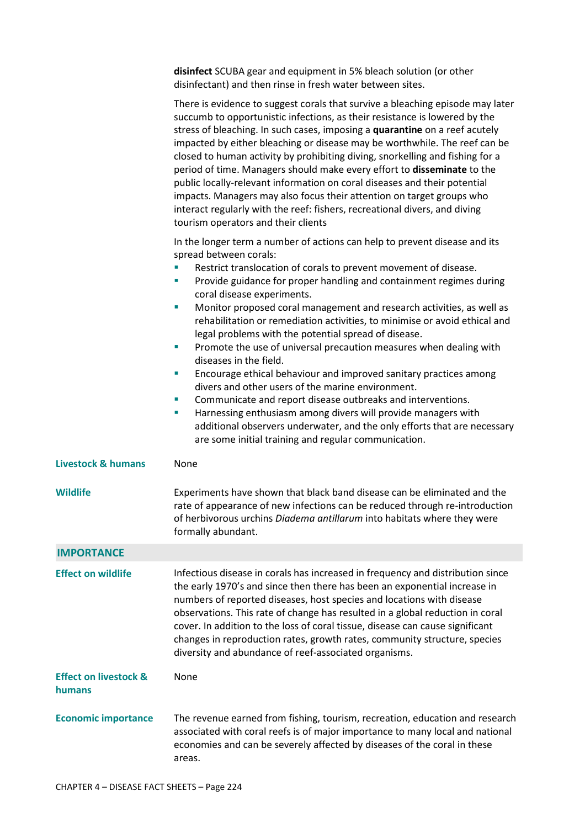**disinfect** SCUBA gear and equipment in 5% bleach solution (or other disinfectant) and then rinse in fresh water between sites.

|                                            | There is evidence to suggest corals that survive a bleaching episode may later<br>succumb to opportunistic infections, as their resistance is lowered by the<br>stress of bleaching. In such cases, imposing a quarantine on a reef acutely<br>impacted by either bleaching or disease may be worthwhile. The reef can be<br>closed to human activity by prohibiting diving, snorkelling and fishing for a<br>period of time. Managers should make every effort to disseminate to the<br>public locally-relevant information on coral diseases and their potential<br>impacts. Managers may also focus their attention on target groups who<br>interact regularly with the reef: fishers, recreational divers, and diving<br>tourism operators and their clients                                                                                                                                                                                                                                                                  |  |  |
|--------------------------------------------|-----------------------------------------------------------------------------------------------------------------------------------------------------------------------------------------------------------------------------------------------------------------------------------------------------------------------------------------------------------------------------------------------------------------------------------------------------------------------------------------------------------------------------------------------------------------------------------------------------------------------------------------------------------------------------------------------------------------------------------------------------------------------------------------------------------------------------------------------------------------------------------------------------------------------------------------------------------------------------------------------------------------------------------|--|--|
|                                            | In the longer term a number of actions can help to prevent disease and its<br>spread between corals:<br>Restrict translocation of corals to prevent movement of disease.<br>I.<br>Provide guidance for proper handling and containment regimes during<br>I.<br>coral disease experiments.<br>Monitor proposed coral management and research activities, as well as<br>×,<br>rehabilitation or remediation activities, to minimise or avoid ethical and<br>legal problems with the potential spread of disease.<br>Promote the use of universal precaution measures when dealing with<br>П<br>diseases in the field.<br>Encourage ethical behaviour and improved sanitary practices among<br>I.<br>divers and other users of the marine environment.<br>Communicate and report disease outbreaks and interventions.<br>П<br>Harnessing enthusiasm among divers will provide managers with<br>П<br>additional observers underwater, and the only efforts that are necessary<br>are some initial training and regular communication. |  |  |
| <b>Livestock &amp; humans</b>              | None                                                                                                                                                                                                                                                                                                                                                                                                                                                                                                                                                                                                                                                                                                                                                                                                                                                                                                                                                                                                                              |  |  |
| <b>Wildlife</b>                            | Experiments have shown that black band disease can be eliminated and the<br>rate of appearance of new infections can be reduced through re-introduction<br>of herbivorous urchins Diadema antillarum into habitats where they were<br>formally abundant.                                                                                                                                                                                                                                                                                                                                                                                                                                                                                                                                                                                                                                                                                                                                                                          |  |  |
| <b>IMPORTANCE</b>                          |                                                                                                                                                                                                                                                                                                                                                                                                                                                                                                                                                                                                                                                                                                                                                                                                                                                                                                                                                                                                                                   |  |  |
| <b>Effect on wildlife</b>                  | Infectious disease in corals has increased in frequency and distribution since<br>the early 1970's and since then there has been an exponential increase in<br>numbers of reported diseases, host species and locations with disease<br>observations. This rate of change has resulted in a global reduction in coral<br>cover. In addition to the loss of coral tissue, disease can cause significant<br>changes in reproduction rates, growth rates, community structure, species<br>diversity and abundance of reef-associated organisms.                                                                                                                                                                                                                                                                                                                                                                                                                                                                                      |  |  |
| <b>Effect on livestock &amp;</b><br>humans | None                                                                                                                                                                                                                                                                                                                                                                                                                                                                                                                                                                                                                                                                                                                                                                                                                                                                                                                                                                                                                              |  |  |
|                                            |                                                                                                                                                                                                                                                                                                                                                                                                                                                                                                                                                                                                                                                                                                                                                                                                                                                                                                                                                                                                                                   |  |  |